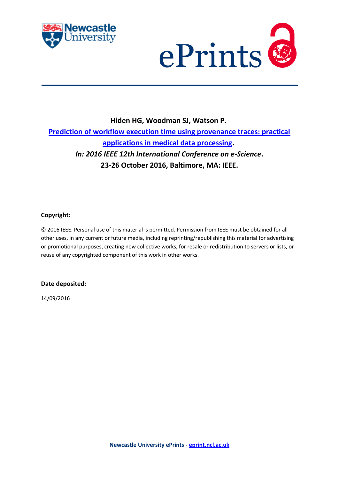



## **Hiden HG, Woodman SJ, Watson P. [Prediction of workflow execution time using provenance traces: practical](https://myimpact.ncl.ac.uk/ViewPublication.aspx?id=227981)  [applications in medical data processing.](https://myimpact.ncl.ac.uk/ViewPublication.aspx?id=227981)** *In: 2016 IEEE 12th International Conference on e-Science***. 23-26 October 2016, Baltimore, MA: IEEE.**

## **Copyright:**

© 2016 IEEE. Personal use of this material is permitted. Permission from IEEE must be obtained for all other uses, in any current or future media, including reprinting/republishing this material for advertising or promotional purposes, creating new collective works, for resale or redistribution to servers or lists, or reuse of any copyrighted component of this work in other works.

### **Date deposited:**

14/09/2016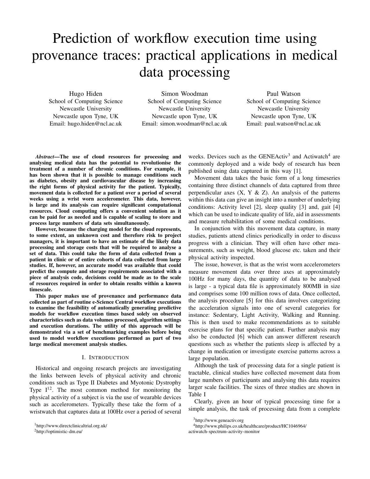# Prediction of workflow execution time using provenance traces: practical applications in medical data processing

Hugo Hiden School of Computing Science Newcastle University Newcastle upon Tyne, UK Email: hugo.hiden@ncl.ac.uk

Simon Woodman School of Computing Science Newcastle University Newcastle upon Tyne, UK Email: simon.woodman@ncl.ac.uk

Paul Watson School of Computing Science Newcastle University Newcastle upon Tyne, UK Email: paul.watson@ncl.ac.uk

*Abstract*—The use of cloud resources for processing and analysing medical data has the potential to revolutionise the treatment of a number of chronic conditions. For example, it has been shown that it is possible to manage conditions such as diabetes, obesity and cardiovascular disease by increasing the right forms of physical activity for the patient. Typically, movement data is collected for a patient over a period of several weeks using a wrist worn accelerometer. This data, however, is large and its analysis can require significant computational resources. Cloud computing offers a convenient solution as it can be paid for as needed and is capable of scaling to store and process large numbers of data sets simultaneously.

However, because the charging model for the cloud represents, to some extent, an unknown cost and therefore risk to project managers, it is important to have an estimate of the likely data processing and storage costs that will be required to analyse a set of data. This could take the form of data collected from a patient in clinic or of entire cohorts of data collected from large studies. If, however, an accurate model was available that could predict the compute and storage requirements associated with a piece of analysis code, decisions could be made as to the scale of resources required in order to obtain results within a known timescale.

This paper makes use of provenance and performance data collected as part of routine e-Science Central workflow executions to examine the feasibility of automatically generating predictive models for workflow execution times based solely on observed characteristics such as data volumes processed, algorithm settings and execution durations. The utility of this approach will be demonstrated via a set of benchmarking examples before being used to model workflow executions performed as part of two large medical movement analysis studies.

#### I. INTRODUCTION

Historical and ongoing research projects are investigating the links between levels of physical activity and chronic conditions such as Type II Diabetes and Myotonic Dystrophy Type  $I^{12}$ . The most common method for monitoring the physical activity of a subject is via the use of wearable devices such as accelerometers. Typically these take the form of a wristwatch that captures data at 100Hz over a period of several

weeks. Devices such as the GENEActiv<sup>3</sup> and Actiwatch<sup>4</sup> are commonly deployed and a wide body of research has been published using data captured in this way [1].

Movement data takes the basic form of a long timeseries containing three distinct channels of data captured from three perpendicular axes  $(X, Y \& Z)$ . An analysis of the patterns within this data can give an insight into a number of underlying conditions: Activity level [2], sleep quality [3] and, gait [4] which can be used to indicate quality of life, aid in assessments and measure rehabilitation of some medical conditions.

In conjunction with this movement data capture, in many studies, patients attend clinics periodically in order to discuss progress with a clinician. They will often have other measurements, such as weight, blood glucose etc. taken and their physical activity inspected.

The issue, however, is that as the wrist worn accelerometers measure movement data over three axes at approximately 100Hz for many days, the quantity of data to be analysed is large - a typical data file is approximately 800MB in size and comprises some 100 million rows of data. Once collected, the analysis procedure [5] for this data involves categorizing the acceleration signals into one of several categories for instance: Sedentary, Light Activity, Walking and Running. This is then used to make recommendations as to suitable exercise plans for that specific patient. Further analysis may also be conducted [6] which can answer different research questions such as whether the patients sleep is affected by a change in medication or investigate exercise patterns across a large population.

Although the task of processing data for a single patient is tractable, clinical studies have collected movement data from large numbers of participants and analysing this data requires larger scale facilities. The sizes of three studies are shown in Table I

Clearly, given an hour of typical processing time for a simple analysis, the task of processing data from a complete

<sup>1</sup>http://www.directclinicaltrial.org.uk/

<sup>2</sup>http://optimistic-dm.eu/

<sup>3</sup>http://www.geneactiv.org

<sup>4</sup>http://www.philips.co.uk/healthcare/product/HC1046964/

actiwatch-spectrum-activity-monitor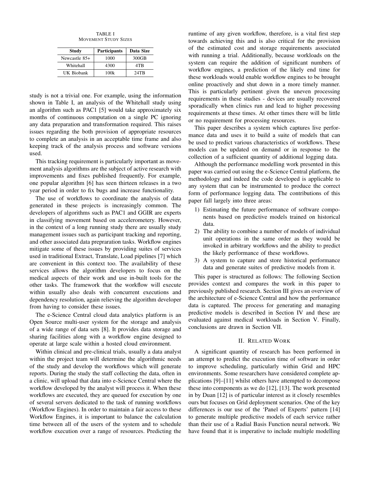TABLE I MOVEMENT STUDY SIZES

| <b>Study</b>  | <b>Participants</b> | Data Size |
|---------------|---------------------|-----------|
| Newcastle 85+ | 1000                | 300GB     |
| Whitehall     | 4300                | 4TB       |
| UK Biobank    | 100k                | 24TB      |

study is not a trivial one. For example, using the information shown in Table I, an analysis of the Whitehall study using an algorithm such as PAC1 [5] would take approximately six months of continuous computation on a single PC ignoring any data preparation and transformation required. This raises issues regarding the both provision of appropriate resources to complete an analysis in an acceptable time frame and also keeping track of the analysis process and software versions used.

This tracking requirement is particularly important as movement analysis algorithms are the subject of active research with improvements and fixes published frequently. For example, one popular algorithm [6] has seen thirteen releases in a two year period in order to fix bugs and increase functionality.

The use of workflows to coordinate the analysis of data generated in these projects is increasingly common. The developers of algorithms such as PAC1 and GGIR are experts in classifying movement based on accelerometery. However, in the context of a long running study there are usually study management issues such as participant tracking and reporting, and other associated data prepraration tasks. Workflow engines mitigate some of these issues by providing suites of services used in traditional Extract, Translate, Load pipelines [7] which are convenient in this context too. The availability of these services allows the algorithm developers to focus on the medical aspects of their work and use in-built tools for the other tasks. The framework that the workflow will execute within usually also deals with concurrent executions and dependency resolution, again relieving the algorithm developer from having to consider these issues.

The e-Science Central cloud data analytics platform is an Open Source multi-user system for the storage and analysis of a wide range of data sets [8]. It provides data storage and sharing facilities along with a workflow engine designed to operate at large scale within a hosted cloud environment.

Within clinical and pre-clinical trials, usually a data analyst within the project team will determine the algorithmic needs of the study and develop the workflows which will generate reports. During the study the staff collecting the data, often in a clinic, will upload that data into e-Science Central where the workflow developed by the analyst will process it. When these workflows are executed, they are queued for execution by one of several servers dedicated to the task of running workflows (Workflow Engines). In order to maintain a fair access to these Workflow Engines, it is important to balance the calculation time between all of the users of the system and to schedule workflow execution over a range of resources. Predicting the runtime of any given workflow, therefore, is a vital first step towards achieving this and is also critical for the provision of the estimated cost and storage requirements associated with running a trial. Additionally, because workloads on the system can require the addition of significant numbers of workflow engines, a prediction of the likely end time for these workloads would enable workflow engines to be brought online proactively and shut down in a more timely manner. This is particularly pertinent given the uneven processing requirements in these studies - devices are usually recovered sporadically when clinics run and lead to higher processing requirements at these times. At other times there will be little or no requirement for processing resources.

This paper describes a system which captures live performance data and uses it to build a suite of models that can be used to predict various characteristics of workflows. These models can be updated on demand or in response to the collection of a sufficient quantity of additional logging data.

Although the performance modelling work presented in this paper was carried out using the e-Science Central platform, the methodology and indeed the code developed is applicable to any system that can be instrumented to produce the correct form of performance logging data. The contributions of this paper fall largely into three areas:

- 1) Estimating the future performance of software components based on predictive models trained on historical data.
- 2) The ability to combine a number of models of individual unit operations in the same order as they would be invoked in arbitrary workflows and the ability to predict the likely performance of these workflows.
- 3) A system to capture and store historical performance data and generate suites of predictive models from it.

This paper is structured as follows: The following Section provides context and compares the work in this paper to previously published research. Section III gives an overview of the architecture of e-Science Central and how the performance data is captured. The process for generating and managing predictive models is described in Section IV and these are evaluated against medical workloads in Section V. Finally, conclusions are drawn in Section VII.

#### II. RELATED WORK

A significant quantity of research has been performed in an attempt to predict the execution time of software in order to improve scheduling, particularly within Grid and HPC environments. Some researchers have considered complete applications [9]–[11] whilst others have attempted to decompose these into components as we do [12], [13]. The work presented in by Duan [12] is of particular interest as it closely resembles ours but focuses on Grid deployment scenarios. One of the key differences is our use of the 'Panel of Experts' pattern [14] to generate multiple predictive models of each service rather than their use of a Radial Basis Function neural network. We have found that it is imperative to include multiple modelling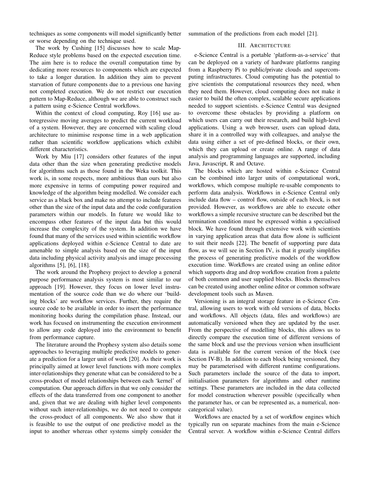techniques as some components will model significantly better or worse depending on the technique used.

The work by Cushing [15] discusses how to scale Map-Reduce style problems based on the expected execution time. The aim here is to reduce the overall computation time by dedicating more resources to components which are expected to take a longer duration. In addition they aim to prevent starvation of future components due to a previous one having not completed execution. We do not restrict our execution pattern to Map-Reduce, although we are able to construct such a pattern using e-Science Central workflows.

Within the context of cloud computing, Roy [16] use autoregressive moving averages to predict the current workload of a system. However, they are concerned with scaling cloud architecture to minimise response time in a web application rather than scientific workflow applications which exhibit different characteristics.

Work by Miu [17] considers other features of the input data other than the size when generating predictive models for algorithms such as those found in the Weka toolkit. This work is, in some respects, more ambitious than ours but also more expensive in terms of computing power required and knowledge of the algorithm being modelled. We consider each service as a black box and make no attempt to include features other than the size of the input data and the code configuration parameters within our models. In future we would like to encompass other features of the input data but this would increase the complexity of the system. In addition we have found that many of the services used within scientific workflow applications deployed within e-Science Central to date are amenable to simple analysis based on the size of the input data including physical activity analysis and image processing algorithms [5], [6], [18].

The work around the Prophesy project to develop a general purpose performance analysis system is most similar to our approach [19]. However, they focus on lower level instrumentation of the source code than we do where our 'building blocks' are workflow services. Further, they require the source code to be available in order to insert the performance monitoring hooks during the compilation phase. Instead, our work has focused on instrumenting the execution environment to allow any code deployed into the environment to benefit from performance capture.

The literature around the Prophesy system also details some approaches to leveraging multiple predictive models to generate a prediction for a larger unit of work [20]. As their work is principally aimed at lower level functions with more complex inter-relationships they generate what can be considered to be a cross-product of model relationships between each 'kernel' of computation. Our approach differs in that we only consider the effects of the data transferred from one component to another and, given that we are dealing with higher level components without such inter-relationships, we do not need to compute the cross-product of all components. We also show that it is feasible to use the output of one predictive model as the input to another whereas other systems simply consider the

summation of the predictions from each model [21].

#### III. ARCHITECTURE

e-Science Central is a portable 'platform-as-a-service' that can be deployed on a variety of hardware platforms ranging from a Raspberry Pi to public/private clouds and supercomputing infrastructures. Cloud computing has the potential to give scientists the computational resources they need, when they need them. However, cloud computing does not make it easier to build the often complex, scalable secure applications needed to support scientists. e-Science Central was designed to overcome these obstacles by providing a platform on which users can carry out their research, and build high-level applications. Using a web browser, users can upload data, share it in a controlled way with colleagues, and analyse the data using either a set of pre-defined blocks, or their own, which they can upload or create online. A range of data analysis and programming languages are supported, including Java, Javascript, R and Octave.

The blocks which are hosted within e-Science Central can be combined into larger units of computational work, workflows, which compose multiple re-usable components to perform data analysis. Workflows in e-Science Central only include data flow – control flow, outside of each block, is not provided. However, as workflows are able to execute other workflows a simple recursive structure can be described but the termination condition must be expressed within a specialised block. We have found through extensive work with scientists in varying application areas that data flow alone is sufficient to suit their needs [22]. The benefit of supporting pure data flow, as we will see in Section IV, is that it greatly simplifies the process of generating predictive models of the workflow execution time. Workflows are created using an online editor which supports drag and drop workflow creation from a palette of both common and user supplied blocks. Blocks themselves can be created using another online editor or common software development tools such as Maven.

Versioning is an integral storage feature in e-Science Central, allowing users to work with old versions of data, blocks and workflows. All objects (data, files and workflows) are automatically versioned when they are updated by the user. From the perspective of modelling blocks, this allows us to directly compare the execution time of different versions of the same block and use the previous version when insufficient data is available for the current version of the block (see Section IV-B). In addition to each block being versioned, they may be parameterised with different runtime configurations. Such parameters include the source of the data to import, initialisation parameters for algorithms and other runtime settings. These parameters are included in the data collected for model construction wherever possible (specifically when the parameter has, or can be represented as, a numerical, noncategorical value).

Workflows are enacted by a set of workflow engines which typically run on separate machines from the main e-Science Central server. A workflow within e-Science Central differs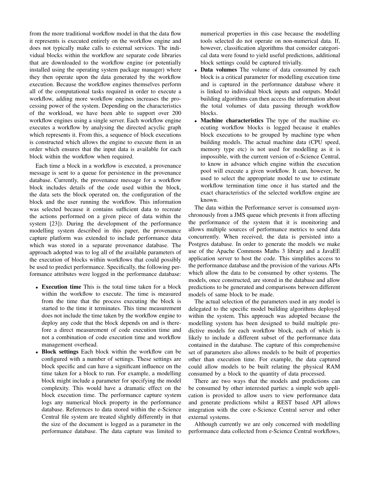from the more traditional workflow model in that the data flow it represents is executed entirely on the workflow engine and does not typically make calls to external services. The individual blocks within the workflow are separate code libraries that are downloaded to the workflow engine (or potentially installed using the operating system package manager) where they then operate upon the data generated by the workflow execution. Because the workflow engines themselves perform all of the computational tasks required in order to execute a workflow, adding more workflow engines increases the processing power of the system. Depending on the characteristics of the workload, we have been able to support over 200 workflow engines using a single server. Each workflow engine executes a workflow by analysing the directed acyclic graph which represents it. From this, a sequence of block executions is constructed which allows the engine to execute them in an order which ensures that the input data is available for each block within the workflow when required.

Each time a block in a workflow is executed, a provenance message is sent to a queue for persistence in the provenance database. Currently, the provenance message for a workflow block includes details of the code used within the block, the data sets the block operated on, the configuration of the block and the user running the workflow. This information was selected because it contains sufficient data to recreate the actions performed on a given piece of data within the system [23]). During the development of the performance modelling system described in this paper, the provenance capture platform was extended to include performance data which was stored in a separate provenance database. The approach adopted was to log all of the available parameters of the execution of blocks within workflows that could possibly be used to predict performance. Specifically, the following performance attributes were logged in the performance database:

- Execution time This is the total time taken for a block within the workflow to execute. The time is measured from the time that the process executing the block is started to the time it terminates. This time measurement does not include the time taken by the workflow engine to deploy any code that the block depends on and is therefore a direct measurement of code execution time and not a combination of code execution time and workflow management overhead.
- Block settings Each block within the workflow can be configured with a number of settings. These settings are block specific and can have a significant influence on the time taken for a block to run. For example, a modelling block might include a parameter for specifying the model complexity. This would have a dramatic effect on the block execution time. The performance capture system logs any numerical block property in the performance database. References to data stored within the e-Science Central file system are treated slightly differently in that the size of the document is logged as a parameter in the performance database. The data capture was limited to

numerical properties in this case because the modelling tools selected do not operate on non-numerical data. If, however, classification algorithms that consider categorical data were found to yield useful predictions, additional block settings could be captured trivially.

- Data volumes The volume of data consumed by each block is a critical parameter for modelling execution time and is captured in the performance database where it is linked to individual block inputs and outputs. Model building algorithms can then access the information about the total volumes of data passing through workflow blocks.
- Machine characteristics The type of the machine executing workflow blocks is logged because it enables block executions to be grouped by machine type when building models. The actual machine data (CPU speed, memory type etc) is not used for modelling as it is impossible, with the current version of e-Science Central, to know in advance which engine within the execution pool will execute a given workflow. It can, however, be used to select the appropriate model to use to estimate workflow termination time once it has started and the exact characteristics of the selected workflow engine are known.

The data within the Performance server is consumed asynchronously from a JMS queue which prevents it from affecting the performance of the system that it is monitoring and allows multiple sources of performance metrics to send data concurrently. When received, the data is persisted into a Postgres database. In order to generate the models we make use of the Apache Commons Maths 3 library and a JavaEE application server to host the code. This simplifies access to the performance database and the provision of the various APIs which allow the data to be consumed by other systems. The models, once constructed, are stored in the database and allow predictions to be generated and comparisons between different models of same block to be made.

The actual selection of the parameters used in any model is delegated to the specific model building algorithms deployed within the system. This approach was adopted because the modelling system has been designed to build multiple predictive models for each workflow block, each of which is likely to include a different subset of the performance data contained in the database. The capture of this comprehensive set of parameters also allows models to be built of properties other than execution time. For example, the data captured could allow models to be built relating the physical RAM consumed by a block to the quantity of data processed.

There are two ways that the models and predictions can be consumed by other interested parties: a simple web application is provided to allow users to view performance data and generate predictions whilst a REST based API allows integration with the core e-Science Central server and other external systems.

Although currently we are only concerned with modelling performance data collected from e-Science Central workflows,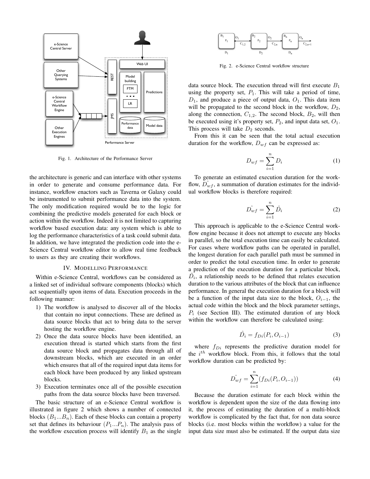

Fig. 1. Architecture of the Performance Server

the architecture is generic and can interface with other systems in order to generate and consume performance data. For instance, workflow enactors such as Taverna or Galaxy could be instrumented to submit performance data into the system. The only modification required would be to the logic for combining the predictive models generated for each block or action within the workflow. Indeed it is not limited to capturing workflow based execution data: any system which is able to log the performance characteristics of a task could submit data. In addition, we have integrated the prediction code into the e-Science Central workflow editor to allow real time feedback to users as they are creating their workflows.

#### IV. MODELLING PERFORMANCE

Within e-Science Central, workflows can be considered as a linked set of individual software components (blocks) which act sequentially upon items of data. Execution proceeds in the following manner:

- 1) The workflow is analysed to discover all of the blocks that contain no input connections. These are defined as data source blocks that act to bring data to the server hosting the workflow engine.
- 2) Once the data source blocks have been identified, an execution thread is started which starts from the first data source block and propagates data through all of downstream blocks, which are executed in an order which ensures that all of the required input data items for each block have been produced by any linked upstream blocks.
- 3) Execution terminates once all of the possible execution paths from the data source blocks have been traversed.

The basic structure of an e-Science Central workflow is illustrated in figure 2 which shows a number of connected blocks  $(B_1...B_n)$ . Each of these blocks can contain a property set that defines its behaviour  $(P_1...P_n)$ . The analysis pass of the workflow execution process will identify  $B_1$  as the single



Fig. 2. e-Science Central workflow structure

data source block. The execution thread will first execute  $B_1$ using the property set,  $P_1$ . This will take a period of time,  $D_1$ , and produce a piece of output data,  $O_1$ . This data item will be propagated to the second block in the workflow,  $D_2$ , along the connection,  $C_{1,2}$ . The second block,  $B_2$ , will then be executed using it's property set,  $P_2$ , and input data set,  $O_1$ . This process will take  $D_2$  seconds.

From this it can be seen that the total actual execution duration for the workflow,  $D_{wf}$  can be expressed as:

$$
D_{wf} = \sum_{i=1}^{n} D_i
$$
 (1)

To generate an estimated execution duration for the workflow,  $D_{wf}$ , a summation of duration estimates for the individual workflow blocks is therefore required:

$$
\hat{D_{wf}} = \sum_{i=1}^{n} \hat{D}_i
$$
 (2)

This approach is applicable to the e-Science Central workflow engine because it does not attempt to execute any blocks in parallel, so the total execution time can easily be calculated. For cases where workflow paths can be operated in parallel, the longest duration for each parallel path must be summed in order to predict the total execution time. In order to generate a prediction of the execution duration for a particular block,  $\hat{D}_i$ , a relationship needs to be defined that relates execution duration to the various attributes of the block that can influence performance. In general the execution duration for a block will be a function of the input data size to the block,  $O_{i-1}$ , the actual code within the block and the block parameter settings,  $P_i$  (see Section III). The estimated duration of any block within the workflow can therefore be calculated using:

$$
\hat{D}_i = f_{Di}(P_i, O_{i-1})\tag{3}
$$

where  $f_{Di}$  represents the predictive duration model for the  $i^{th}$  workflow block. From this, it follows that the total workflow duration can be predicted by:

$$
\hat{D_{wf}} = \sum_{i=1}^{n} (f_{Di}(P_i, O_{i-1}))
$$
\n(4)

Because the duration estimate for each block within the workflow is dependent upon the size of the data flowing into it, the process of estimating the duration of a multi-block workflow is complicated by the fact that, for non data source blocks (i.e. most blocks within the workflow) a value for the input data size must also be estimated. If the output data size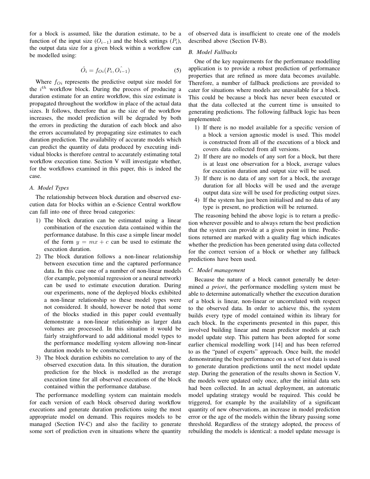for a block is assumed, like the duration estimate, to be a function of the input size  $(O_{i-1})$  and the block settings  $(P_i)$ , the output data size for a given block within a workflow can be modelled using:

$$
\hat{O}_i = f_{Oi}(P_i, \hat{O}_{i-1})
$$
\n<sup>(5)</sup>

Where  $f_{Qi}$  represents the predictive output size model for the  $i^{th}$  workflow block. During the process of producing a duration estimate for an entire workflow, this size estimate is propagated throughout the workflow in place of the actual data sizes. It follows, therefore that as the size of the workflow increases, the model prediction will be degraded by both the errors in predicting the duration of each block and also the errors accumulated by propagating size estimates to each duration prediction. The availability of accurate models which can predict the quantity of data produced by executing individual blocks is therefore central to accurately estimating total workflow execution time. Section V will investigate whether, for the workflows examined in this paper, this is indeed the case.

#### *A. Model Types*

The relationship between block duration and observed execution data for blocks within an e-Science Central workflow can fall into one of three broad categories:

- 1) The block duration can be estimated using a linear combination of the execution data contained within the performance database. In this case a simple linear model of the form  $y = mx + c$  can be used to estimate the execution duration.
- 2) The block duration follows a non-linear relationship between execution time and the captured performance data. In this case one of a number of non-linear models (for example, polynomial regression or a neural network) can be used to estimate execution duration. During our experiments, none of the deployed blocks exhibited a non-linear relationship so these model types were not considered. It should, however be noted that some of the blocks studied in this paper could eventually demonstrate a non-linear relationship as larger data volumes are processed. In this situation it would be fairly straightforward to add additional model types to the performance modelling system allowing non-linear duration models to be constructed.
- 3) The block duration exhibits no correlation to any of the observed execution data. In this situation, the duration prediction for the block is modelled as the average execution time for all observed executions of the block contained within the performance database.

The performance modelling system can maintain models for each version of each block observed during workflow executions and generate duration predictions using the most appropriate model on demand. This requires models to be managed (Section IV-C) and also the facility to generate some sort of prediction even in situations where the quantity of observed data is insufficient to create one of the models described above (Section IV-B).

#### *B. Model Fallbacks*

One of the key requirements for the performance modelling application is to provide a robust prediction of performance properties that are refined as more data becomes available. Therefore, a number of fallback predictions are provided to cater for situations where models are unavailable for a block. This could be because a block has never been executed or that the data collected at the current time is unsuited to generating predictions. The following fallback logic has been implemented:

- 1) If there is no model available for a specific version of a block a version agnostic model is used. This model is constructed from all of the executions of a block and covers data collected from all versions.
- 2) If there are no models of any sort for a block, but there is at least one observation for a block, average values for execution duration and output size will be used.
- 3) If there is no data of any sort for a block, the average duration for all blocks will be used and the average output data size will be used for predicting output sizes.
- 4) If the system has just been initialised and no data of any type is present, no prediction will be returned.

The reasoning behind the above logic is to return a prediction wherever possible and to always return the best prediction that the system can provide at a given point in time. Predictions returned are marked with a quality flag which indicates whether the prediction has been generated using data collected for the correct version of a block or whether any fallback predictions have been used.

#### *C. Model management*

Because the nature of a block cannot generally be determined *a priori*, the performance modelling system must be able to determine automatically whether the execution duration of a block is linear, non-linear or uncorrelated with respect to the observed data. In order to achieve this, the system builds every type of model contained within its library for each block. In the experiments presented in this paper, this involved building linear and mean predictor models at each model update step. This pattern has been adopted for some earlier chemical modelling work [14] and has been referred to as the "panel of experts" approach. Once built, the model demonstrating the best performance on a set of test data is used to generate duration predictions until the next model update step. During the generation of the results shown in Section V, the models were updated only once, after the initial data sets had been collected. In an actual deployment, an automatic model updating strategy would be required. This could be triggered, for example by the availability of a significant quantity of new observations, an increase in model prediction error or the age of the models within the library passing some threshold. Regardless of the strategy adopted, the process of rebuilding the models is identical: a model update message is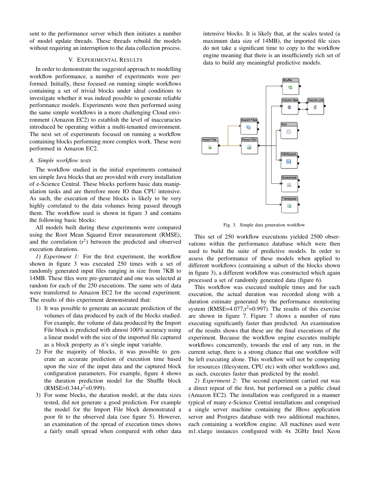sent to the performance server which then initiates a number of model update threads. These threads rebuild the models without requiring an interruption to the data collection process.

#### V. EXPERIMENTAL RESULTS

In order to demonstrate the suggested approach to modelling workflow performance, a number of experiments were performed. Initially, these focused on running simple workflows containing a set of trivial blocks under ideal conditions to investigate whether it was indeed possible to generate reliable performance models. Experiments were then performed using the same simple workflows in a more challenging Cloud environment (Amazon EC2) to establish the level of inaccuracies introduced be operating within a multi-tenanted environment. The next set of experiments focused on running a workflow containing blocks performing more complex work. These were performed in Amazon EC2.

#### *A. Simple workflow tests*

The workflow studied in the initial experiments contained ten simple Java blocks that are provided with every installation of e-Science Central. These blocks perform basic data manipulation tasks and are therefore more IO than CPU intensive. As such, the execution of these blocks is likely to be very highly correlated to the data volumes being passed through them. The workflow used is shown in figure 3 and contains the following basic blocks:

All models built during these experiments were compared using the Root Mean Squared Error measurement (RMSE), and the correlation  $(r^2)$  between the predicted and observed execution durations.

*1) Experiment 1:* For the first experiment, the workflow shown in figure 3 was executed 250 times with a set of randomly generated input files ranging in size from 7KB to 14MB. These files were pre-generated and one was selected at random for each of the 250 executions. The same sets of data were transferred to Amazon EC2 for the second experiment. The results of this experiment demonstrated that:

- 1) It was possible to generate an accurate prediction of the volumes of data produced by each of the blocks studied. For example, the volume of data produced by the Import File block is predicted with almost 100% accuracy using a linear model with the size of the imported file captured as a block property as it's single input variable.
- 2) For the majority of blocks, it was possible to generate an accurate prediction of execution time based upon the size of the input data and the captured block configuration parameters. For example, figure 4 shows the duration prediction model for the Shuffle block  $(RMSE=0.344, r^2=0.999)$ .
- 3) For some blocks, the duration model, at the data sizes tested, did not generate a good prediction. For example the model for the Import File block demonstrated a poor fit to the observed data (see figure 5). However, an examination of the spread of execution times shows a fairly small spread when compared with other data

intensive blocks. It is likely that, at the scales tested (a maximum data size of 14MB), the imported file sizes do not take a significant time to copy to the workflow engine meaning that there is an insufficiently rich set of data to build any meaningful predictive models.



Fig. 3. Simple data generation workflow

This set of 250 workflow executions yielded 2500 observations within the performance database which were then used to build the suite of predictive models. In order to assess the performance of these models when applied to different workflows (containing a subset of the blocks shown in figure 3), a different workflow was constructed which again processed a set of randomly generated data (figure 6).

This workflow was executed multiple times and for each execution, the actual duration was recorded along with a duration estimate generated by the performance monitoring system (RMSE= $4.077$ , $r^2$ = $0.997$ ). The results of this exercise are shown in figure 7. Figure 7 shows a number of runs executing significantly faster than predicted. An examination of the results shows that these are the final executions of the experiment. Because the workflow engine executes multiple workflows concurrently, towards the end of any run, in the current setup, there is a strong chance that one workflow will be left executing alone. This workflow will not be competing for resources (filesystem, CPU etc) with other workflows and, as such, executes faster than predicted by the model.

*2) Experiment 2:* The second experiment carried out was a direct repeat of the first, but performed on a public cloud (Amazon EC2). The installation was configured in a manner typical of many e-Science Central installations and comprised a single server machine containing the JBoss application server and Postgres database with two additional machines, each containing a workflow engine. All machines used were m1.xlarge instances configured with 4x 2GHz Intel Xeon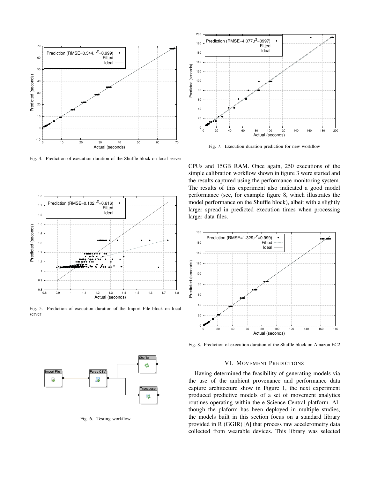

Fig. 4. Prediction of execution duration of the Shuffle block on local server



Fig. 7. Execution duration prediction for new workflow



Fig. 5. Prediction of execution duration of the Import File block on local server

CPUs and 15GB RAM. Once again, 250 executions of the simple calibration workflow shown in figure 3 were started and the results captured using the performance monitoring system. The results of this experiment also indicated a good model performance (see, for example figure 8, which illustrates the model performance on the Shuffle block), albeit with a slightly larger spread in predicted execution times when processing larger data files.



Fig. 8. Prediction of execution duration of the Shuffle block on Amazon EC2

#### VI. MOVEMENT PREDICTIONS

Having determined the feasibility of generating models via the use of the ambient provenance and performance data capture architecture show in Figure 1, the next experiment produced predictive models of a set of movement analytics routines operating within the e-Science Central platform. Although the plaform has been deployed in multiple studies, the models built in this section focus on a standard library provided in R (GGIR) [6] that process raw accelerometry data collected from wearable devices. This library was selected

Fig. 6. Testing workflow

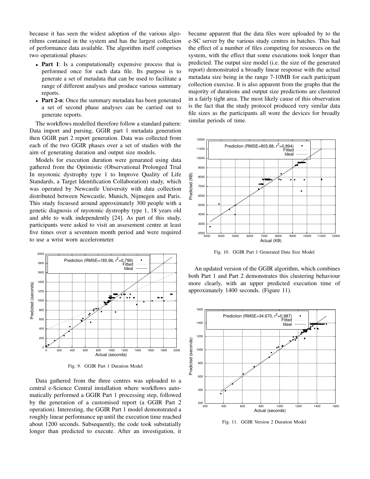because it has seen the widest adoption of the various algorithms contained in the system and has the largest collection of performance data available. The algorithm itself comprises two operational phases:

- Part 1: Is a computationally expensive process that is performed once for each data file. Its purpose is to generate a set of metadata that can be used to facilitate a range of different analyses and produce various summary reports.
- Part 2-n: Once the summary metadata has been generated a set of second phase analyses can be carried out to generate reports.

The workflows modelled therefore follow a standard pattern: Data import and parsing, GGIR part 1 metadata generation then GGIR part 2 report generation. Data was collected from each of the two GGIR phases over a set of studies with the aim of generating duration and output size models.

Models for execution duration were genarated using data gathered from the Optimistic (Observational Prolonged Trial In myotonic dystrophy type 1 to Improve Quality of Life Standards, a Target Identification Collaboration) study, which was operated by Newcastle University with data collection distributed between Newcastle, Munich, Nijmegen and Paris. This study focussed around approximately 300 people with a genetic diagnosis of myotonic dystrophy type 1, 18 years old and able to walk independently [24]. As part of this study, participants were asked to visit an assesement centre at least five times over a seventeen month period and were required to use a wrist worn accelerometer.



Fig. 9. GGIR Part 1 Duration Model

Data gathered from the three centres was uploaded to a central e-Science Central installation where workflows automatically performed a GGIR Part 1 processing step, followed by the generation of a customised report (a GGIR Part 2 operation). Interesting, the GGIR Part 1 model demonstrated a roughly linear performance up until the execution time reached about 1200 seconds. Subsequently, the code took substatially longer than predicted to execute. After an investigation, it became apparent that the data files were uploaded by to the e-SC server by the various study centres in batches. This had the effect of a number of files competing for resources on the system, with the effect that some executions took longer than predicted. The output size model (i.e. the size of the generated report) demonstrated a broadly linear response with the actual metadata size being in the range 7-10MB for each participant collection exercise. It is also apparent from the graphs that the majority of durations and output size predictions are clustered in a fairly tight area. The most likely cause of this observation is the fact that the study protocol produced very similar data file sizes as the participants all wore the devices for broadly similar periods of time.



Fig. 10. GGIR Part 1 Generated Data Size Model

An updated version of the GGIR algorithm, which combines both Part 1 and Part 2 demonstrates this clustering behaviour more clearly, with an upper predicted execution time of approximately 1400 seconds. (Figure 11).



Fig. 11. GGIR Version 2 Duration Model